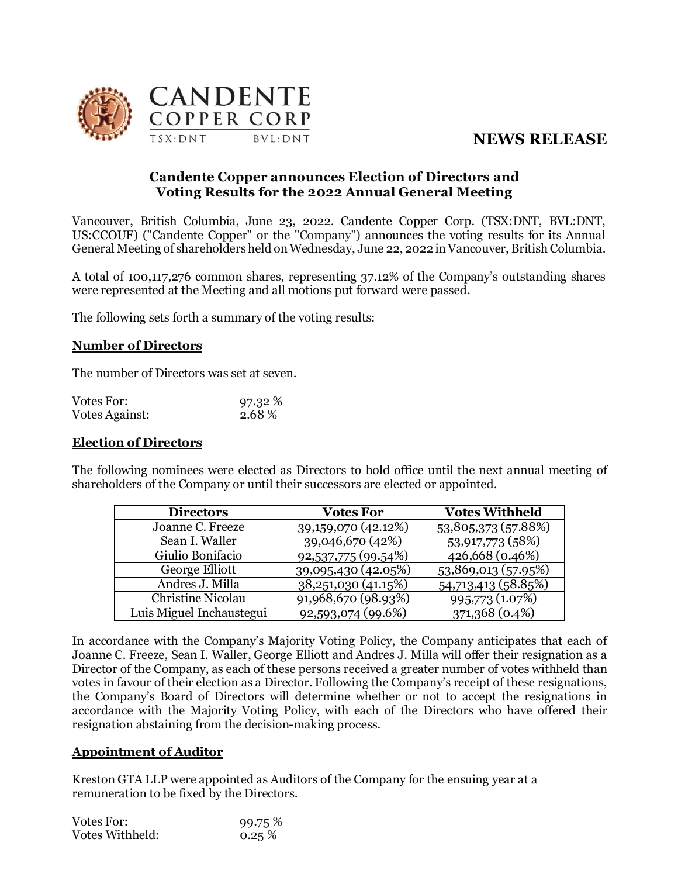# **NEWS RELEASE**



### **Candente Copper announces Election of Directors and Voting Results for the 2022 Annual General Meeting**

Vancouver, British Columbia, June 23, 2022. Candente Copper Corp. (TSX:DNT, BVL:DNT, US:CCOUF) ("Candente Copper" or the "Company") announces the voting results for its Annual General Meeting of shareholders held on Wednesday, June 22, 2022 in Vancouver, British Columbia.

A total of 100,117,276 common shares, representing 37.12% of the Company's outstanding shares were represented at the Meeting and all motions put forward were passed.

The following sets forth a summary of the voting results:

#### **Number of Directors**

The number of Directors was set at seven.

| Votes For:     | 97.32 % |
|----------------|---------|
| Votes Against: | 2.68%   |

#### **Election of Directors**

The following nominees were elected as Directors to hold office until the next annual meeting of shareholders of the Company or until their successors are elected or appointed.

| <b>Directors</b>         | <b>Votes For</b>      | <b>Votes Withheld</b> |
|--------------------------|-----------------------|-----------------------|
| Joanne C. Freeze         | 39, 159, 070 (42.12%) | 53,805,373 (57.88%)   |
| Sean I. Waller           | 39,046,670 (42%)      | 53,917,773 (58%)      |
| Giulio Bonifacio         | 92,537,775 (99.54%)   | 426,668 (0.46%)       |
| George Elliott           | 39,095,430 (42.05%)   | 53,869,013 (57.95%)   |
| Andres J. Milla          | 38,251,030 (41.15%)   | 54,713,413 (58.85%)   |
| Christine Nicolau        | 91,968,670 (98.93%)   | 995,773 (1.07%)       |
| Luis Miguel Inchaustegui | 92,593,074 (99.6%)    | 371,368 (0.4%)        |

In accordance with the Company's Majority Voting Policy, the Company anticipates that each of Joanne C. Freeze, Sean I. Waller, George Elliott and Andres J. Milla will offer their resignation as a Director of the Company, as each of these persons received a greater number of votes withheld than votes in favour of their election as a Director. Following the Company's receipt of these resignations, the Company's Board of Directors will determine whether or not to accept the resignations in accordance with the Majority Voting Policy, with each of the Directors who have offered their resignation abstaining from the decision-making process.

#### **Appointment of Auditor**

Kreston GTA LLP were appointed as Auditors of the Company for the ensuing year at a remuneration to be fixed by the Directors.

| Votes For:      | 99.75 % |
|-----------------|---------|
| Votes Withheld: | 0.25%   |